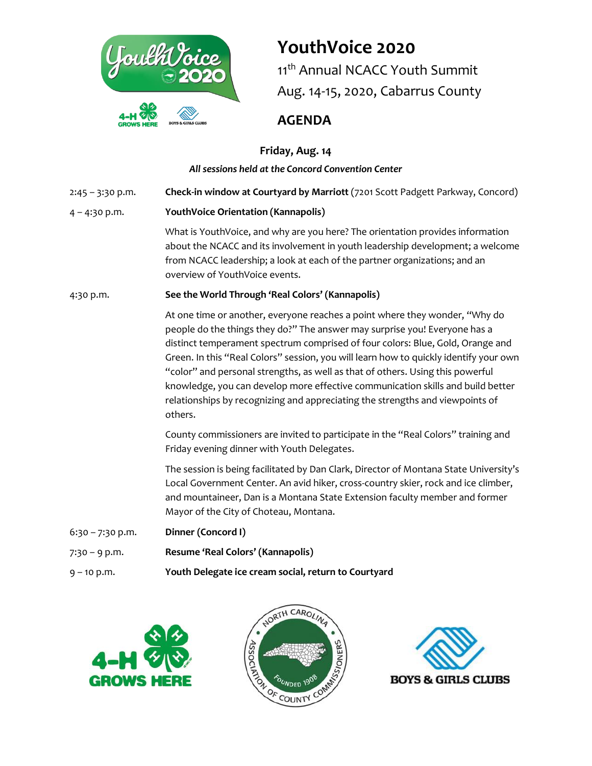

# **YouthVoice 2020**

11<sup>th</sup> Annual NCACC Youth Summit Aug. 14-15, 2020, Cabarrus County

# **AGENDA**

## **Friday, Aug. 14**

### *All sessions held at the Concord Convention Center*

2:45 – 3:30 p.m. **Check-in window at Courtyard by Marriott** (7201 Scott Padgett Parkway, Concord)

### 4 – 4:30 p.m. **YouthVoice Orientation (Kannapolis)**

What is YouthVoice, and why are you here? The orientation provides information about the NCACC and its involvement in youth leadership development; a welcome from NCACC leadership; a look at each of the partner organizations; and an overview of YouthVoice events.

### 4:30 p.m. **See the World Through 'Real Colors' (Kannapolis)**

At one time or another, everyone reaches a point where they wonder, "Why do people do the things they do?" The answer may surprise you! Everyone has a distinct temperament spectrum comprised of four colors: Blue, Gold, Orange and Green. In this "Real Colors" session, you will learn how to quickly identify your own "color" and personal strengths, as well as that of others. Using this powerful knowledge, you can develop more effective communication skills and build better relationships by recognizing and appreciating the strengths and viewpoints of others.

County commissioners are invited to participate in the "Real Colors" training and Friday evening dinner with Youth Delegates.

The session is being facilitated by Dan Clark, Director of Montana State University's Local Government Center. An avid hiker, cross-country skier, rock and ice climber, and mountaineer, Dan is a Montana State Extension faculty member and former Mayor of the City of Choteau, Montana.

- 6:30 7:30 p.m. **Dinner (Concord I)** 7:30 – 9 p.m. **Resume 'Real Colors' (Kannapolis)**
- 9 10 p.m. **Youth Delegate ice cream social, return to Courtyard**